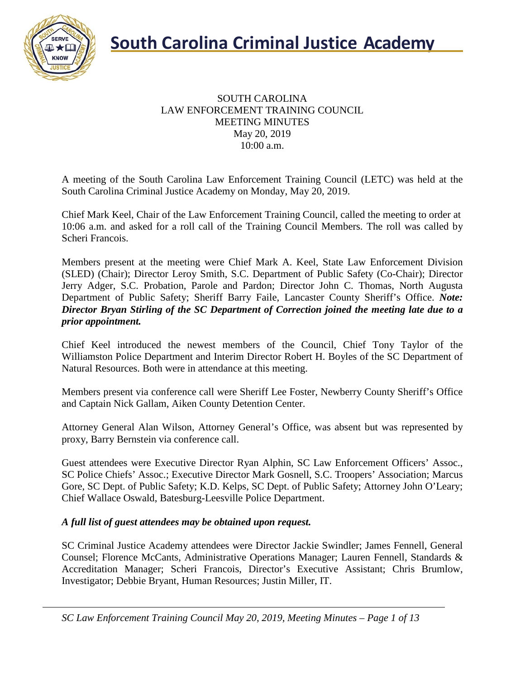

#### SOUTH CAROLINA LAW ENFORCEMENT TRAINING COUNCIL MEETING MINUTES May 20, 2019 10:00 a.m.

A meeting of the South Carolina Law Enforcement Training Council (LETC) was held at the South Carolina Criminal Justice Academy on Monday, May 20, 2019.

Chief Mark Keel, Chair of the Law Enforcement Training Council, called the meeting to order at 10:06 a.m. and asked for a roll call of the Training Council Members. The roll was called by Scheri Francois.

Members present at the meeting were Chief Mark A. Keel, State Law Enforcement Division (SLED) (Chair); Director Leroy Smith, S.C. Department of Public Safety (Co-Chair); Director Jerry Adger, S.C. Probation, Parole and Pardon; Director John C. Thomas, North Augusta Department of Public Safety; Sheriff Barry Faile, Lancaster County Sheriff's Office. *Note: Director Bryan Stirling of the SC Department of Correction joined the meeting late due to a prior appointment.*

Chief Keel introduced the newest members of the Council, Chief Tony Taylor of the Williamston Police Department and Interim Director Robert H. Boyles of the SC Department of Natural Resources. Both were in attendance at this meeting.

Members present via conference call were Sheriff Lee Foster, Newberry County Sheriff's Office and Captain Nick Gallam, Aiken County Detention Center.

Attorney General Alan Wilson, Attorney General's Office, was absent but was represented by proxy, Barry Bernstein via conference call.

Guest attendees were Executive Director Ryan Alphin, SC Law Enforcement Officers' Assoc., SC Police Chiefs' Assoc.; Executive Director Mark Gosnell, S.C. Troopers' Association; Marcus Gore, SC Dept. of Public Safety; K.D. Kelps, SC Dept. of Public Safety; Attorney John O'Leary; Chief Wallace Oswald, Batesburg-Leesville Police Department.

#### *A full list of guest attendees may be obtained upon request.*

SC Criminal Justice Academy attendees were Director Jackie Swindler; James Fennell, General Counsel; Florence McCants, Administrative Operations Manager; Lauren Fennell, Standards & Accreditation Manager; Scheri Francois, Director's Executive Assistant; Chris Brumlow, Investigator; Debbie Bryant, Human Resources; Justin Miller, IT.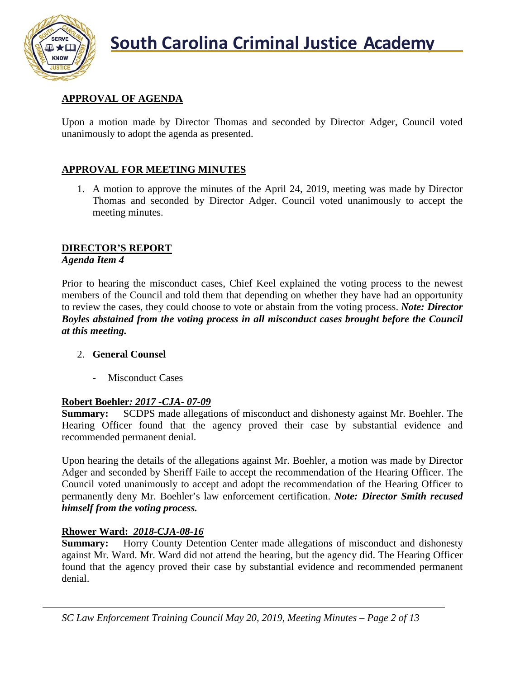

# **APPROVAL OF AGENDA**

Upon a motion made by Director Thomas and seconded by Director Adger, Council voted unanimously to adopt the agenda as presented.

# **APPROVAL FOR MEETING MINUTES**

1. A motion to approve the minutes of the April 24, 2019, meeting was made by Director Thomas and seconded by Director Adger. Council voted unanimously to accept the meeting minutes.

# **DIRECTOR'S REPORT**

#### *Agenda Item 4*

Prior to hearing the misconduct cases, Chief Keel explained the voting process to the newest members of the Council and told them that depending on whether they have had an opportunity to review the cases, they could choose to vote or abstain from the voting process. *Note: Director Boyles abstained from the voting process in all misconduct cases brought before the Council at this meeting.*

#### 2. **General Counsel**

Misconduct Cases

### **Robert Boehler***: 2017 -CJA- 07-09*

**Summary:** SCDPS made allegations of misconduct and dishonesty against Mr. Boehler. The Hearing Officer found that the agency proved their case by substantial evidence and recommended permanent denial.

Upon hearing the details of the allegations against Mr. Boehler, a motion was made by Director Adger and seconded by Sheriff Faile to accept the recommendation of the Hearing Officer. The Council voted unanimously to accept and adopt the recommendation of the Hearing Officer to permanently deny Mr. Boehler's law enforcement certification. *Note: Director Smith recused himself from the voting process.*

### **Rhower Ward:** *2018-CJA-08-16*

**Summary:** Horry County Detention Center made allegations of misconduct and dishonesty against Mr. Ward. Mr. Ward did not attend the hearing, but the agency did. The Hearing Officer found that the agency proved their case by substantial evidence and recommended permanent denial.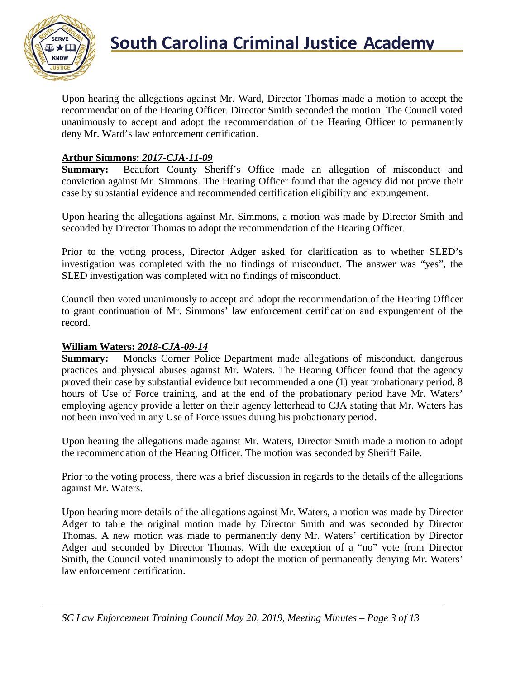

Upon hearing the allegations against Mr. Ward, Director Thomas made a motion to accept the recommendation of the Hearing Officer. Director Smith seconded the motion. The Council voted unanimously to accept and adopt the recommendation of the Hearing Officer to permanently deny Mr. Ward's law enforcement certification.

#### **Arthur Simmons:** *2017-CJA-11-09*

**Summary:** Beaufort County Sheriff's Office made an allegation of misconduct and conviction against Mr. Simmons. The Hearing Officer found that the agency did not prove their case by substantial evidence and recommended certification eligibility and expungement.

Upon hearing the allegations against Mr. Simmons, a motion was made by Director Smith and seconded by Director Thomas to adopt the recommendation of the Hearing Officer.

Prior to the voting process, Director Adger asked for clarification as to whether SLED's investigation was completed with the no findings of misconduct. The answer was "yes", the SLED investigation was completed with no findings of misconduct.

Council then voted unanimously to accept and adopt the recommendation of the Hearing Officer to grant continuation of Mr. Simmons' law enforcement certification and expungement of the record.

# **William Waters:** *2018-CJA-09-14*

**Summary:** Moncks Corner Police Department made allegations of misconduct, dangerous practices and physical abuses against Mr. Waters. The Hearing Officer found that the agency proved their case by substantial evidence but recommended a one (1) year probationary period, 8 hours of Use of Force training, and at the end of the probationary period have Mr. Waters' employing agency provide a letter on their agency letterhead to CJA stating that Mr. Waters has not been involved in any Use of Force issues during his probationary period.

Upon hearing the allegations made against Mr. Waters, Director Smith made a motion to adopt the recommendation of the Hearing Officer. The motion was seconded by Sheriff Faile.

Prior to the voting process, there was a brief discussion in regards to the details of the allegations against Mr. Waters.

Upon hearing more details of the allegations against Mr. Waters, a motion was made by Director Adger to table the original motion made by Director Smith and was seconded by Director Thomas. A new motion was made to permanently deny Mr. Waters' certification by Director Adger and seconded by Director Thomas. With the exception of a "no" vote from Director Smith, the Council voted unanimously to adopt the motion of permanently denying Mr. Waters' law enforcement certification.

*SC Law Enforcement Training Council May 20, 2019, Meeting Minutes – Page 3 of 13*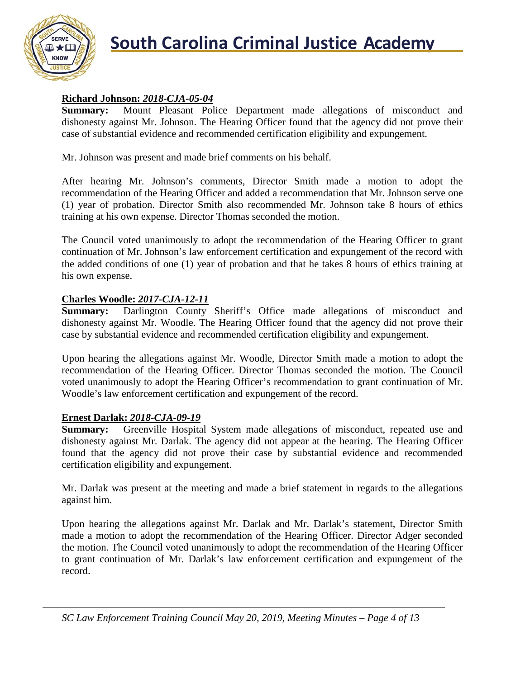

# **Richard Johnson:** *2018-CJA-05-04*

**Summary:** Mount Pleasant Police Department made allegations of misconduct and dishonesty against Mr. Johnson. The Hearing Officer found that the agency did not prove their case of substantial evidence and recommended certification eligibility and expungement.

Mr. Johnson was present and made brief comments on his behalf.

After hearing Mr. Johnson's comments, Director Smith made a motion to adopt the recommendation of the Hearing Officer and added a recommendation that Mr. Johnson serve one (1) year of probation. Director Smith also recommended Mr. Johnson take 8 hours of ethics training at his own expense. Director Thomas seconded the motion.

The Council voted unanimously to adopt the recommendation of the Hearing Officer to grant continuation of Mr. Johnson's law enforcement certification and expungement of the record with the added conditions of one (1) year of probation and that he takes 8 hours of ethics training at his own expense.

# **Charles Woodle:** *2017-CJA-12-11*

**Summary:** Darlington County Sheriff's Office made allegations of misconduct and dishonesty against Mr. Woodle. The Hearing Officer found that the agency did not prove their case by substantial evidence and recommended certification eligibility and expungement.

Upon hearing the allegations against Mr. Woodle, Director Smith made a motion to adopt the recommendation of the Hearing Officer. Director Thomas seconded the motion. The Council voted unanimously to adopt the Hearing Officer's recommendation to grant continuation of Mr. Woodle's law enforcement certification and expungement of the record.

### **Ernest Darlak:** *2018-CJA-09-19*

**Summary:** Greenville Hospital System made allegations of misconduct, repeated use and dishonesty against Mr. Darlak. The agency did not appear at the hearing. The Hearing Officer found that the agency did not prove their case by substantial evidence and recommended certification eligibility and expungement.

Mr. Darlak was present at the meeting and made a brief statement in regards to the allegations against him.

Upon hearing the allegations against Mr. Darlak and Mr. Darlak's statement, Director Smith made a motion to adopt the recommendation of the Hearing Officer. Director Adger seconded the motion. The Council voted unanimously to adopt the recommendation of the Hearing Officer to grant continuation of Mr. Darlak's law enforcement certification and expungement of the record.

*SC Law Enforcement Training Council May 20, 2019, Meeting Minutes – Page 4 of 13*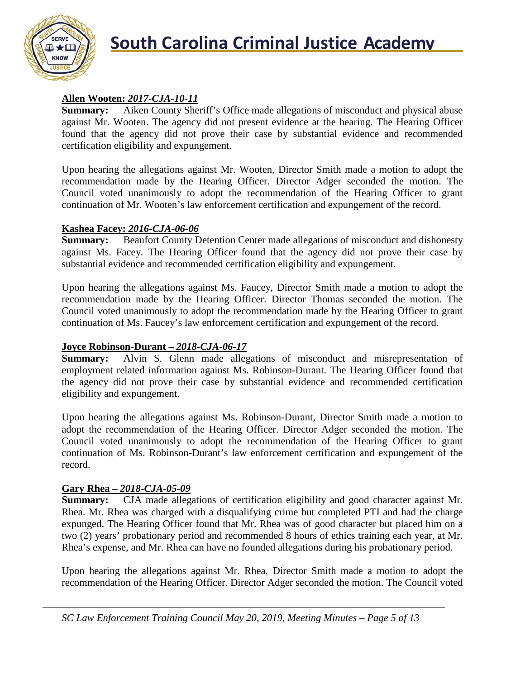

# **Allen Wooten:** *2017-CJA-10-11*

**Summary:** Aiken County Sheriff's Office made allegations of misconduct and physical abuse against Mr. Wooten. The agency did not present evidence at the hearing. The Hearing Officer found that the agency did not prove their case by substantial evidence and recommended certification eligibility and expungement.

Upon hearing the allegations against Mr. Wooten, Director Smith made a motion to adopt the recommendation made by the Hearing Officer. Director Adger seconded the motion. The Council voted unanimously to adopt the recommendation of the Hearing Officer to grant continuation of Mr. Wooten's law enforcement certification and expungement of the record.

# **Kashea Facey: 2016-CJA-06-06**<br>**Summary:** Beaufort County D

Beaufort County Detention Center made allegations of misconduct and dishonesty against Ms. Facey. The Hearing Officer found that the agency did not prove their case by substantial evidence and recommended certification eligibility and expungement.

Upon hearing the allegations against Ms. Faucey, Director Smith made a motion to adopt the recommendation made by the Hearing Officer. Director Thomas seconded the motion. The Council voted unanimously to adopt the recommendation made by the Hearing Officer to grant continuation of Ms. Faucey's law enforcement certification and expungement of the record.

# **Joyce Robinson-Durant** – 2018-CJA-06-17<br>**Summary:** Alvin S. Glenn made alles

Alvin S. Glenn made allegations of misconduct and misrepresentation of employment related information against Ms. Robinson-Durant. The Hearing Officer found that the agency did not prove their case by substantial evidence and recommended certification eligibility and expungement.

Upon hearing the allegations against Ms. Robinson-Durant, Director Smith made a motion to adopt the recommendation of the Hearing Officer. Director Adger seconded the motion. The Council voted unanimously to adopt the recommendation of the Hearing Officer to grant continuation of Ms. Robinson-Durant's law enforcement certification and expungement of the record.

### **Gary Rhea –** *2018-CJA-05-09*

**Summary:** CJA made allegations of certification eligibility and good character against Mr. Rhea. Mr. Rhea was charged with a disqualifying crime but completed PTI and had the charge expunged. The Hearing Officer found that Mr. Rhea was of good character but placed him on a two (2) years' probationary period and recommended 8 hours of ethics training each year, at Mr. Rhea's expense, and Mr. Rhea can have no founded allegations during his probationary period.

Upon hearing the allegations against Mr. Rhea, Director Smith made a motion to adopt the recommendation of the Hearing Officer. Director Adger seconded the motion. The Council voted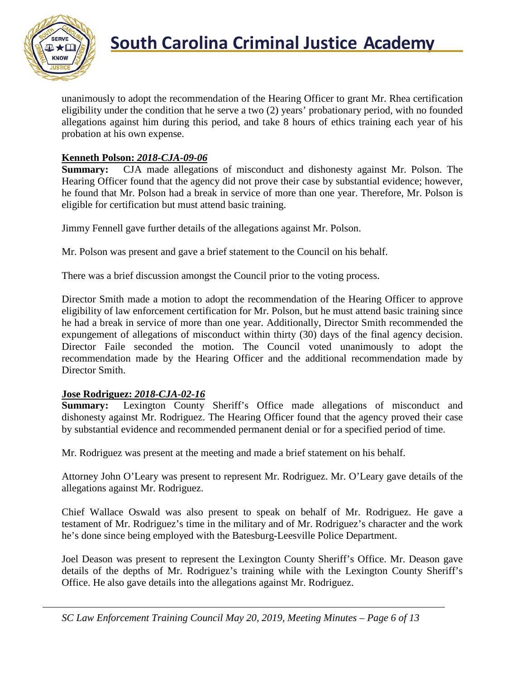

unanimously to adopt the recommendation of the Hearing Officer to grant Mr. Rhea certification eligibility under the condition that he serve a two (2) years' probationary period, with no founded allegations against him during this period, and take 8 hours of ethics training each year of his probation at his own expense.

#### **Kenneth Polson:** *2018-CJA-09-06*

**Summary:** CJA made allegations of misconduct and dishonesty against Mr. Polson. The Hearing Officer found that the agency did not prove their case by substantial evidence; however, he found that Mr. Polson had a break in service of more than one year. Therefore, Mr. Polson is eligible for certification but must attend basic training.

Jimmy Fennell gave further details of the allegations against Mr. Polson.

Mr. Polson was present and gave a brief statement to the Council on his behalf.

There was a brief discussion amongst the Council prior to the voting process.

Director Smith made a motion to adopt the recommendation of the Hearing Officer to approve eligibility of law enforcement certification for Mr. Polson, but he must attend basic training since he had a break in service of more than one year. Additionally, Director Smith recommended the expungement of allegations of misconduct within thirty (30) days of the final agency decision. Director Faile seconded the motion. The Council voted unanimously to adopt the recommendation made by the Hearing Officer and the additional recommendation made by Director Smith.

#### **Jose Rodriguez:** *2018-CJA-02-16*

**Summary:** Lexington County Sheriff's Office made allegations of misconduct and dishonesty against Mr. Rodriguez. The Hearing Officer found that the agency proved their case by substantial evidence and recommended permanent denial or for a specified period of time.

Mr. Rodriguez was present at the meeting and made a brief statement on his behalf.

Attorney John O'Leary was present to represent Mr. Rodriguez. Mr. O'Leary gave details of the allegations against Mr. Rodriguez.

Chief Wallace Oswald was also present to speak on behalf of Mr. Rodriguez. He gave a testament of Mr. Rodriguez's time in the military and of Mr. Rodriguez's character and the work he's done since being employed with the Batesburg-Leesville Police Department.

Joel Deason was present to represent the Lexington County Sheriff's Office. Mr. Deason gave details of the depths of Mr. Rodriguez's training while with the Lexington County Sheriff's Office. He also gave details into the allegations against Mr. Rodriguez.

*SC Law Enforcement Training Council May 20, 2019, Meeting Minutes – Page 6 of 13*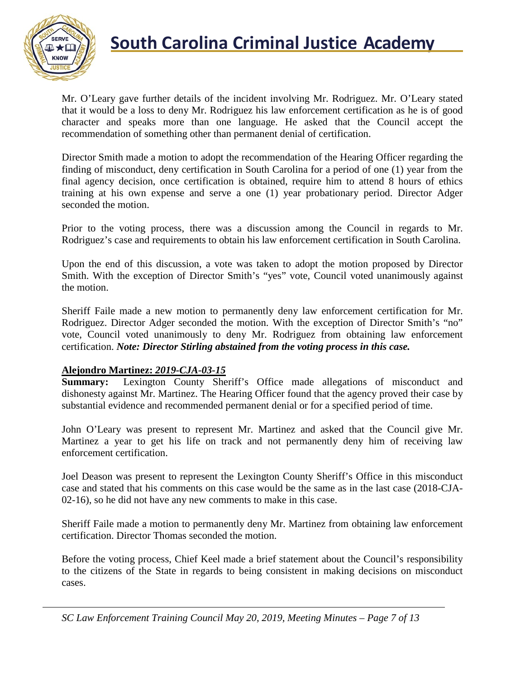

Mr. O'Leary gave further details of the incident involving Mr. Rodriguez. Mr. O'Leary stated that it would be a loss to deny Mr. Rodriguez his law enforcement certification as he is of good character and speaks more than one language. He asked that the Council accept the recommendation of something other than permanent denial of certification.

Director Smith made a motion to adopt the recommendation of the Hearing Officer regarding the finding of misconduct, deny certification in South Carolina for a period of one (1) year from the final agency decision, once certification is obtained, require him to attend 8 hours of ethics training at his own expense and serve a one (1) year probationary period. Director Adger seconded the motion.

Prior to the voting process, there was a discussion among the Council in regards to Mr. Rodriguez's case and requirements to obtain his law enforcement certification in South Carolina.

Upon the end of this discussion, a vote was taken to adopt the motion proposed by Director Smith. With the exception of Director Smith's "yes" vote, Council voted unanimously against the motion.

Sheriff Faile made a new motion to permanently deny law enforcement certification for Mr. Rodriguez. Director Adger seconded the motion. With the exception of Director Smith's "no" vote, Council voted unanimously to deny Mr. Rodriguez from obtaining law enforcement certification. *Note: Director Stirling abstained from the voting process in this case.*

#### **Alejondro Martinez:** *2019-CJA-03-15*

**Summary:** Lexington County Sheriff's Office made allegations of misconduct and dishonesty against Mr. Martinez. The Hearing Officer found that the agency proved their case by substantial evidence and recommended permanent denial or for a specified period of time.

John O'Leary was present to represent Mr. Martinez and asked that the Council give Mr. Martinez a year to get his life on track and not permanently deny him of receiving law enforcement certification.

Joel Deason was present to represent the Lexington County Sheriff's Office in this misconduct case and stated that his comments on this case would be the same as in the last case (2018-CJA-02-16), so he did not have any new comments to make in this case.

Sheriff Faile made a motion to permanently deny Mr. Martinez from obtaining law enforcement certification. Director Thomas seconded the motion.

Before the voting process, Chief Keel made a brief statement about the Council's responsibility to the citizens of the State in regards to being consistent in making decisions on misconduct cases.

*SC Law Enforcement Training Council May 20, 2019, Meeting Minutes – Page 7 of 13*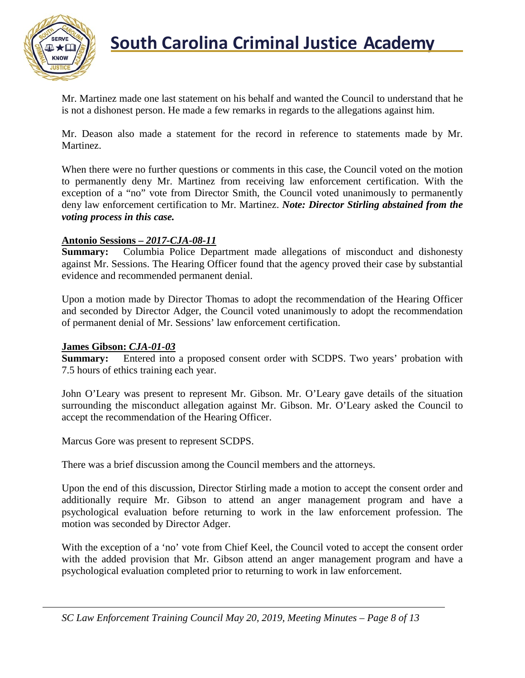

Mr. Martinez made one last statement on his behalf and wanted the Council to understand that he is not a dishonest person. He made a few remarks in regards to the allegations against him.

Mr. Deason also made a statement for the record in reference to statements made by Mr. Martinez.

When there were no further questions or comments in this case, the Council voted on the motion to permanently deny Mr. Martinez from receiving law enforcement certification. With the exception of a "no" vote from Director Smith, the Council voted unanimously to permanently deny law enforcement certification to Mr. Martinez. *Note: Director Stirling abstained from the voting process in this case.*

#### **Antonio Sessions –** *2017-CJA-08-11*

**Summary:** Columbia Police Department made allegations of misconduct and dishonesty against Mr. Sessions. The Hearing Officer found that the agency proved their case by substantial evidence and recommended permanent denial.

Upon a motion made by Director Thomas to adopt the recommendation of the Hearing Officer and seconded by Director Adger, the Council voted unanimously to adopt the recommendation of permanent denial of Mr. Sessions' law enforcement certification.

# **James Gibson:** *CJA-01-03*

Entered into a proposed consent order with SCDPS. Two years' probation with 7.5 hours of ethics training each year.

John O'Leary was present to represent Mr. Gibson. Mr. O'Leary gave details of the situation surrounding the misconduct allegation against Mr. Gibson. Mr. O'Leary asked the Council to accept the recommendation of the Hearing Officer.

Marcus Gore was present to represent SCDPS.

There was a brief discussion among the Council members and the attorneys.

Upon the end of this discussion, Director Stirling made a motion to accept the consent order and additionally require Mr. Gibson to attend an anger management program and have a psychological evaluation before returning to work in the law enforcement profession. The motion was seconded by Director Adger.

With the exception of a 'no' vote from Chief Keel, the Council voted to accept the consent order with the added provision that Mr. Gibson attend an anger management program and have a psychological evaluation completed prior to returning to work in law enforcement.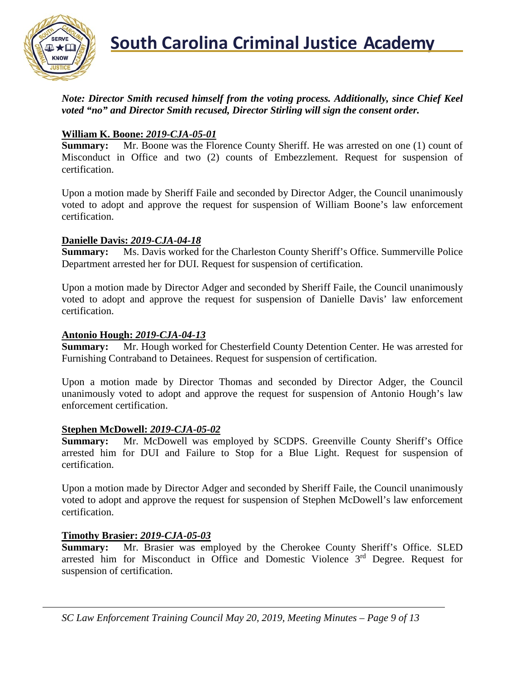

*Note: Director Smith recused himself from the voting process. Additionally, since Chief Keel voted "no" and Director Smith recused, Director Stirling will sign the consent order.*

#### **William K. Boone:** *2019-CJA-05-01*

**Summary:** Mr. Boone was the Florence County Sheriff. He was arrested on one (1) count of Misconduct in Office and two (2) counts of Embezzlement. Request for suspension of certification.

Upon a motion made by Sheriff Faile and seconded by Director Adger, the Council unanimously voted to adopt and approve the request for suspension of William Boone's law enforcement certification.

#### **Danielle Davis:** *2019-CJA-04-18*

**Summary:** Ms. Davis worked for the Charleston County Sheriff's Office. Summerville Police Department arrested her for DUI. Request for suspension of certification.

Upon a motion made by Director Adger and seconded by Sheriff Faile, the Council unanimously voted to adopt and approve the request for suspension of Danielle Davis' law enforcement certification.

#### **Antonio Hough:** *2019-CJA-04-13*

**Summary:** Mr. Hough worked for Chesterfield County Detention Center. He was arrested for Furnishing Contraband to Detainees. Request for suspension of certification.

Upon a motion made by Director Thomas and seconded by Director Adger, the Council unanimously voted to adopt and approve the request for suspension of Antonio Hough's law enforcement certification.

#### **Stephen McDowell:** *2019-CJA-05-02*

**Summary:** Mr. McDowell was employed by SCDPS. Greenville County Sheriff's Office arrested him for DUI and Failure to Stop for a Blue Light. Request for suspension of certification.

Upon a motion made by Director Adger and seconded by Sheriff Faile, the Council unanimously voted to adopt and approve the request for suspension of Stephen McDowell's law enforcement certification.

#### **Timothy Brasier:** *2019-CJA-05-03*

**Summary:** Mr. Brasier was employed by the Cherokee County Sheriff's Office. SLED arrested him for Misconduct in Office and Domestic Violence 3rd Degree. Request for suspension of certification.

*SC Law Enforcement Training Council May 20, 2019, Meeting Minutes – Page 9 of 13*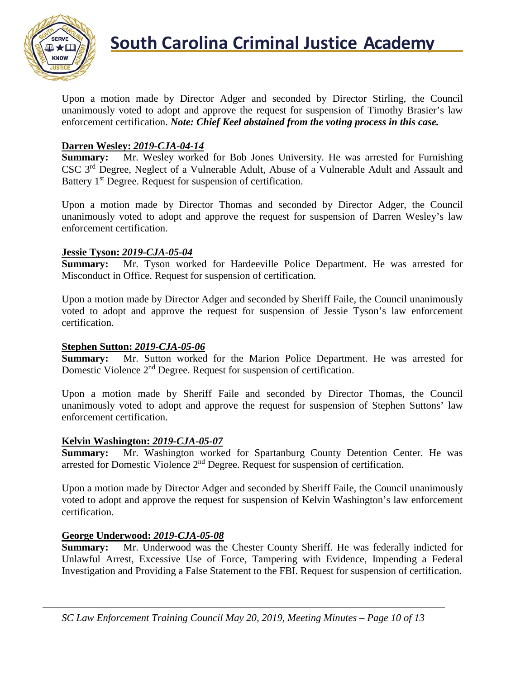

Upon a motion made by Director Adger and seconded by Director Stirling, the Council unanimously voted to adopt and approve the request for suspension of Timothy Brasier's law enforcement certification. *Note: Chief Keel abstained from the voting process in this case.*

#### **Darren Wesley:** *2019-CJA-04-14*

**Summary:** Mr. Wesley worked for Bob Jones University. He was arrested for Furnishing CSC 3rd Degree, Neglect of a Vulnerable Adult, Abuse of a Vulnerable Adult and Assault and Battery 1<sup>st</sup> Degree. Request for suspension of certification.

Upon a motion made by Director Thomas and seconded by Director Adger, the Council unanimously voted to adopt and approve the request for suspension of Darren Wesley's law enforcement certification.

#### **Jessie Tyson:** *2019-CJA-05-04*

**Summary:** Mr. Tyson worked for Hardeeville Police Department. He was arrested for Misconduct in Office. Request for suspension of certification.

Upon a motion made by Director Adger and seconded by Sheriff Faile, the Council unanimously voted to adopt and approve the request for suspension of Jessie Tyson's law enforcement certification.

# **Stephen Sutton: 2019-CJA-05-06**<br>**Summary:** Mr. Sutton worked

Mr. Sutton worked for the Marion Police Department. He was arrested for Domestic Violence  $2<sup>nd</sup>$  Degree. Request for suspension of certification.

Upon a motion made by Sheriff Faile and seconded by Director Thomas, the Council unanimously voted to adopt and approve the request for suspension of Stephen Suttons' law enforcement certification.

#### **Kelvin Washington:** *2019-CJA-05-07*

**Summary:** Mr. Washington worked for Spartanburg County Detention Center. He was arrested for Domestic Violence 2nd Degree. Request for suspension of certification.

Upon a motion made by Director Adger and seconded by Sheriff Faile, the Council unanimously voted to adopt and approve the request for suspension of Kelvin Washington's law enforcement certification.

#### **George Underwood:** *2019-CJA-05-08*

**Summary:** Mr. Underwood was the Chester County Sheriff. He was federally indicted for Unlawful Arrest, Excessive Use of Force, Tampering with Evidence, Impending a Federal Investigation and Providing a False Statement to the FBI. Request for suspension of certification.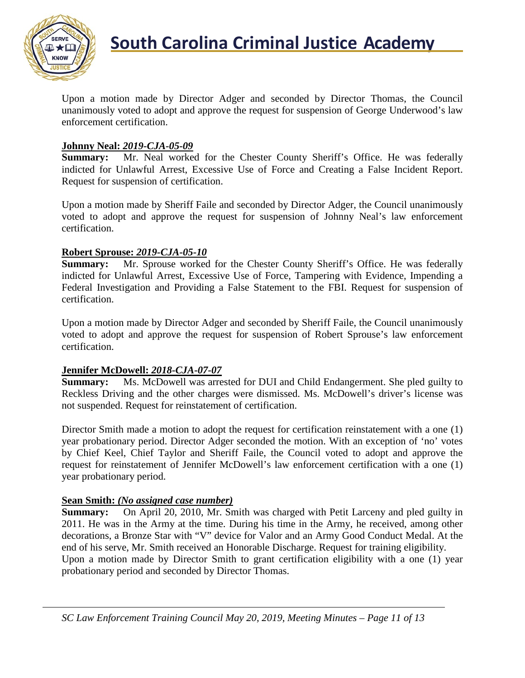

Upon a motion made by Director Adger and seconded by Director Thomas, the Council unanimously voted to adopt and approve the request for suspension of George Underwood's law enforcement certification.

#### **Johnny Neal:** *2019-CJA-05-09*

**Summary:** Mr. Neal worked for the Chester County Sheriff's Office. He was federally indicted for Unlawful Arrest, Excessive Use of Force and Creating a False Incident Report. Request for suspension of certification.

Upon a motion made by Sheriff Faile and seconded by Director Adger, the Council unanimously voted to adopt and approve the request for suspension of Johnny Neal's law enforcement certification.

#### **Robert Sprouse:** *2019-CJA-05-10*

**Summary:** Mr. Sprouse worked for the Chester County Sheriff's Office. He was federally indicted for Unlawful Arrest, Excessive Use of Force, Tampering with Evidence, Impending a Federal Investigation and Providing a False Statement to the FBI. Request for suspension of certification.

Upon a motion made by Director Adger and seconded by Sheriff Faile, the Council unanimously voted to adopt and approve the request for suspension of Robert Sprouse's law enforcement certification.

#### **Jennifer McDowell:** *2018-CJA-07-07*

**Summary:** Ms. McDowell was arrested for DUI and Child Endangerment. She pled guilty to Reckless Driving and the other charges were dismissed. Ms. McDowell's driver's license was not suspended. Request for reinstatement of certification.

Director Smith made a motion to adopt the request for certification reinstatement with a one (1) year probationary period. Director Adger seconded the motion. With an exception of 'no' votes by Chief Keel, Chief Taylor and Sheriff Faile, the Council voted to adopt and approve the request for reinstatement of Jennifer McDowell's law enforcement certification with a one (1) year probationary period.

#### **Sean Smith:** *(No assigned case number)*

**Summary:** On April 20, 2010, Mr. Smith was charged with Petit Larceny and pled guilty in 2011. He was in the Army at the time. During his time in the Army, he received, among other decorations, a Bronze Star with "V" device for Valor and an Army Good Conduct Medal. At the end of his serve, Mr. Smith received an Honorable Discharge. Request for training eligibility. Upon a motion made by Director Smith to grant certification eligibility with a one (1) year probationary period and seconded by Director Thomas.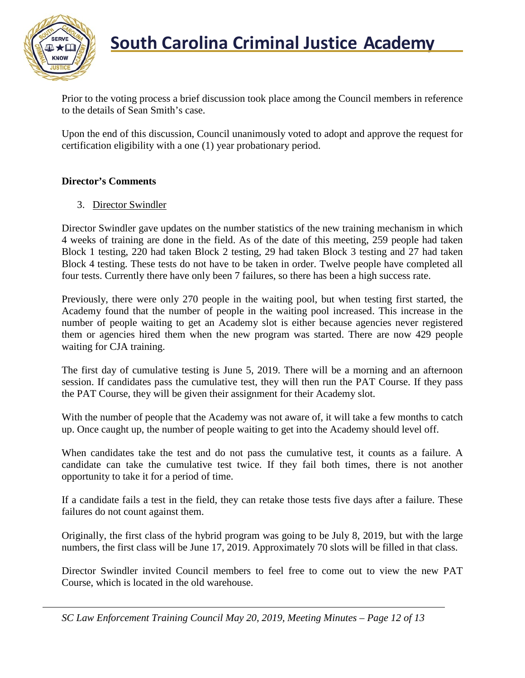

Prior to the voting process a brief discussion took place among the Council members in reference to the details of Sean Smith's case.

Upon the end of this discussion, Council unanimously voted to adopt and approve the request for certification eligibility with a one (1) year probationary period.

#### **Director's Comments**

#### 3. Director Swindler

Director Swindler gave updates on the number statistics of the new training mechanism in which 4 weeks of training are done in the field. As of the date of this meeting, 259 people had taken Block 1 testing, 220 had taken Block 2 testing, 29 had taken Block 3 testing and 27 had taken Block 4 testing. These tests do not have to be taken in order. Twelve people have completed all four tests. Currently there have only been 7 failures, so there has been a high success rate.

Previously, there were only 270 people in the waiting pool, but when testing first started, the Academy found that the number of people in the waiting pool increased. This increase in the number of people waiting to get an Academy slot is either because agencies never registered them or agencies hired them when the new program was started. There are now 429 people waiting for CJA training.

The first day of cumulative testing is June 5, 2019. There will be a morning and an afternoon session. If candidates pass the cumulative test, they will then run the PAT Course. If they pass the PAT Course, they will be given their assignment for their Academy slot.

With the number of people that the Academy was not aware of, it will take a few months to catch up. Once caught up, the number of people waiting to get into the Academy should level off.

When candidates take the test and do not pass the cumulative test, it counts as a failure. A candidate can take the cumulative test twice. If they fail both times, there is not another opportunity to take it for a period of time.

If a candidate fails a test in the field, they can retake those tests five days after a failure. These failures do not count against them.

Originally, the first class of the hybrid program was going to be July 8, 2019, but with the large numbers, the first class will be June 17, 2019. Approximately 70 slots will be filled in that class.

Director Swindler invited Council members to feel free to come out to view the new PAT Course, which is located in the old warehouse.

*SC Law Enforcement Training Council May 20, 2019, Meeting Minutes – Page 12 of 13*